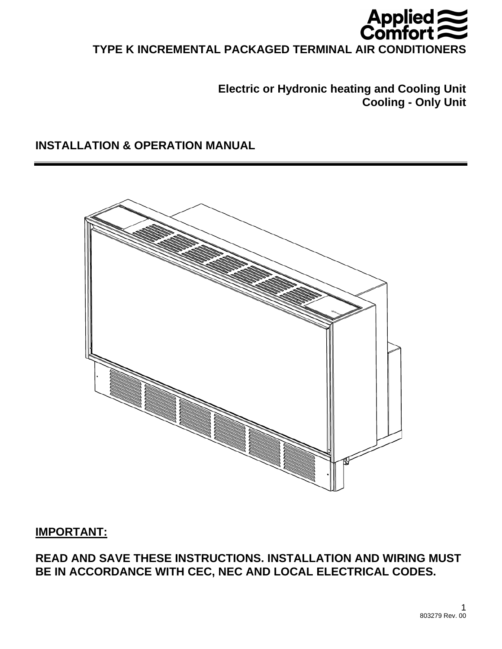

# **TYPE K INCREMENTAL PACKAGED TERMINAL AIR CONDITIONERS**

# **Electric or Hydronic heating and Cooling Unit Cooling - Only Unit**

# **INSTALLATION & OPERATION MANUAL**



# **IMPORTANT:**

# **READ AND SAVE THESE INSTRUCTIONS. INSTALLATION AND WIRING MUST BE IN ACCORDANCE WITH CEC, NEC AND LOCAL ELECTRICAL CODES.**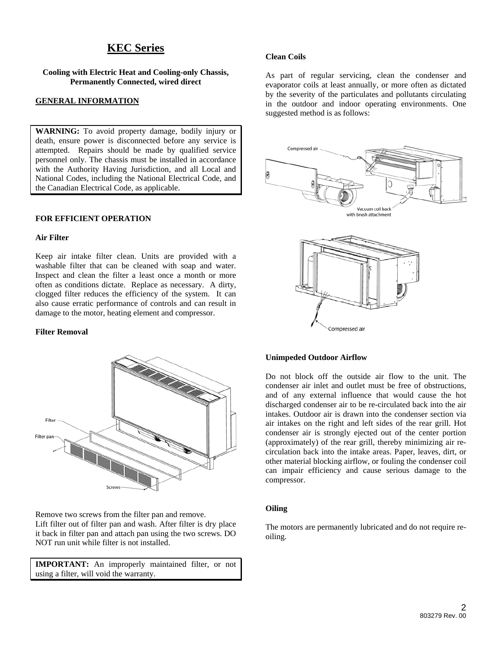# **KEC Series**

**Cooling with Electric Heat and Cooling-only Chassis, Permanently Connected, wired direct** 

## **GENERAL INFORMATION**

**WARNING:** To avoid property damage, bodily injury or death, ensure power is disconnected before any service is attempted. Repairs should be made by qualified service personnel only. The chassis must be installed in accordance with the Authority Having Jurisdiction, and all Local and National Codes, including the National Electrical Code, and the Canadian Electrical Code, as applicable.

#### **FOR EFFICIENT OPERATION**

#### **Air Filter**

Keep air intake filter clean. Units are provided with a washable filter that can be cleaned with soap and water. Inspect and clean the filter a least once a month or more often as conditions dictate. Replace as necessary. A dirty, clogged filter reduces the efficiency of the system. It can also cause erratic performance of controls and can result in damage to the motor, heating element and compressor.

#### **Filter Removal**



Remove two screws from the filter pan and remove. Lift filter out of filter pan and wash. After filter is dry place it back in filter pan and attach pan using the two screws. DO NOT run unit while filter is not installed.

**IMPORTANT:** An improperly maintained filter, or not using a filter, will void the warranty.

#### **Clean Coils**

As part of regular servicing, clean the condenser and evaporator coils at least annually, or more often as dictated by the severity of the particulates and pollutants circulating in the outdoor and indoor operating environments. One suggested method is as follows:





#### **Unimpeded Outdoor Airflow**

Do not block off the outside air flow to the unit. The condenser air inlet and outlet must be free of obstructions, and of any external influence that would cause the hot discharged condenser air to be re-circulated back into the air intakes. Outdoor air is drawn into the condenser section via air intakes on the right and left sides of the rear grill. Hot condenser air is strongly ejected out of the center portion (approximately) of the rear grill, thereby minimizing air recirculation back into the intake areas. Paper, leaves, dirt, or other material blocking airflow, or fouling the condenser coil can impair efficiency and cause serious damage to the compressor.

# **Oiling**

The motors are permanently lubricated and do not require reoiling.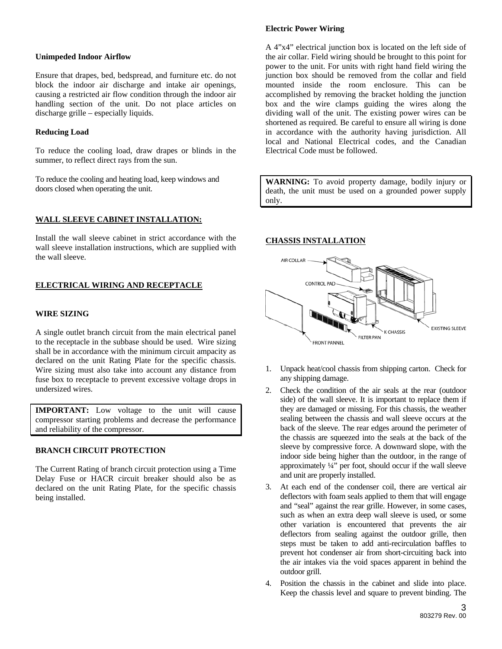#### **Unimpeded Indoor Airflow**

Ensure that drapes, bed, bedspread, and furniture etc. do not block the indoor air discharge and intake air openings, causing a restricted air flow condition through the indoor air handling section of the unit. Do not place articles on discharge grille – especially liquids.

#### **Reducing Load**

To reduce the cooling load, draw drapes or blinds in the summer, to reflect direct rays from the sun.

To reduce the cooling and heating load, keep windows and doors closed when operating the unit.

## **WALL SLEEVE CABINET INSTALLATION:**

Install the wall sleeve cabinet in strict accordance with the wall sleeve installation instructions, which are supplied with the wall sleeve.

# **ELECTRICAL WIRING AND RECEPTACLE**

#### **WIRE SIZING**

A single outlet branch circuit from the main electrical panel to the receptacle in the subbase should be used. Wire sizing shall be in accordance with the minimum circuit ampacity as declared on the unit Rating Plate for the specific chassis. Wire sizing must also take into account any distance from fuse box to receptacle to prevent excessive voltage drops in undersized wires.

**IMPORTANT:** Low voltage to the unit will cause compressor starting problems and decrease the performance and reliability of the compressor.

## **BRANCH CIRCUIT PROTECTION**

The Current Rating of branch circuit protection using a Time Delay Fuse or HACR circuit breaker should also be as declared on the unit Rating Plate, for the specific chassis being installed.

### **Electric Power Wiring**

A 4"x4" electrical junction box is located on the left side of the air collar. Field wiring should be brought to this point for power to the unit. For units with right hand field wiring the junction box should be removed from the collar and field mounted inside the room enclosure. This can be accomplished by removing the bracket holding the junction box and the wire clamps guiding the wires along the dividing wall of the unit. The existing power wires can be shortened as required. Be careful to ensure all wiring is done in accordance with the authority having jurisdiction. All local and National Electrical codes, and the Canadian Electrical Code must be followed.

**WARNING:** To avoid property damage, bodily injury or death, the unit must be used on a grounded power supply only.

## **CHASSIS INSTALLATION**



- 1. Unpack heat/cool chassis from shipping carton. Check for any shipping damage.
- 2. Check the condition of the air seals at the rear (outdoor side) of the wall sleeve. It is important to replace them if they are damaged or missing. For this chassis, the weather sealing between the chassis and wall sleeve occurs at the back of the sleeve. The rear edges around the perimeter of the chassis are squeezed into the seals at the back of the sleeve by compressive force. A downward slope, with the indoor side being higher than the outdoor, in the range of approximately ¼" per foot, should occur if the wall sleeve and unit are properly installed.
- 3. At each end of the condenser coil, there are vertical air deflectors with foam seals applied to them that will engage and "seal" against the rear grille. However, in some cases, such as when an extra deep wall sleeve is used, or some other variation is encountered that prevents the air deflectors from sealing against the outdoor grille, then steps must be taken to add anti-recirculation baffles to prevent hot condenser air from short-circuiting back into the air intakes via the void spaces apparent in behind the outdoor grill.
- 4. Position the chassis in the cabinet and slide into place. Keep the chassis level and square to prevent binding. The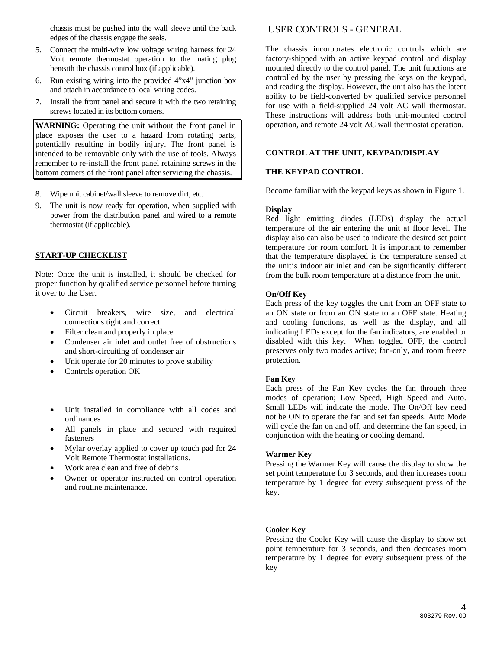chassis must be pushed into the wall sleeve until the back edges of the chassis engage the seals.

- 5. Connect the multi-wire low voltage wiring harness for 24 Volt remote thermostat operation to the mating plug beneath the chassis control box (if applicable).
- 6. Run existing wiring into the provided 4"x4" junction box and attach in accordance to local wiring codes.
- 7. Install the front panel and secure it with the two retaining screws located in its bottom corners.

**WARNING:** Operating the unit without the front panel in place exposes the user to a hazard from rotating parts, potentially resulting in bodily injury. The front panel is intended to be removable only with the use of tools. Always remember to re-install the front panel retaining screws in the bottom corners of the front panel after servicing the chassis.

- 8. Wipe unit cabinet/wall sleeve to remove dirt, etc.
- 9. The unit is now ready for operation, when supplied with power from the distribution panel and wired to a remote thermostat (if applicable).

#### **START-UP CHECKLIST**

Note: Once the unit is installed, it should be checked for proper function by qualified service personnel before turning it over to the User.

- Circuit breakers, wire size, and electrical connections tight and correct
- Filter clean and properly in place
- Condenser air inlet and outlet free of obstructions and short-circuiting of condenser air
- Unit operate for 20 minutes to prove stability
- Controls operation OK
- Unit installed in compliance with all codes and ordinances
- All panels in place and secured with required fasteners
- Mylar overlay applied to cover up touch pad for 24 Volt Remote Thermostat installations.
- Work area clean and free of debris
- Owner or operator instructed on control operation and routine maintenance.

USER CONTROLS - GENERAL

The chassis incorporates electronic controls which are factory-shipped with an active keypad control and display mounted directly to the control panel. The unit functions are controlled by the user by pressing the keys on the keypad, and reading the display. However, the unit also has the latent ability to be field-converted by qualified service personnel for use with a field-supplied 24 volt AC wall thermostat. These instructions will address both unit-mounted control operation, and remote 24 volt AC wall thermostat operation.

### **CONTROL AT THE UNIT, KEYPAD/DISPLAY**

### **THE KEYPAD CONTROL**

Become familiar with the keypad keys as shown in Figure 1.

#### **Display**

Red light emitting diodes (LEDs) display the actual temperature of the air entering the unit at floor level. The display also can also be used to indicate the desired set point temperature for room comfort. It is important to remember that the temperature displayed is the temperature sensed at the unit's indoor air inlet and can be significantly different from the bulk room temperature at a distance from the unit.

#### **On/Off Key**

Each press of the key toggles the unit from an OFF state to an ON state or from an ON state to an OFF state. Heating and cooling functions, as well as the display, and all indicating LEDs except for the fan indicators, are enabled or disabled with this key. When toggled OFF, the control preserves only two modes active; fan-only, and room freeze protection.

#### **Fan Key**

Each press of the Fan Key cycles the fan through three modes of operation; Low Speed, High Speed and Auto. Small LEDs will indicate the mode. The On/Off key need not be ON to operate the fan and set fan speeds. Auto Mode will cycle the fan on and off, and determine the fan speed, in conjunction with the heating or cooling demand.

#### **Warmer Key**

Pressing the Warmer Key will cause the display to show the set point temperature for 3 seconds, and then increases room temperature by 1 degree for every subsequent press of the key.

#### **Cooler Key**

Pressing the Cooler Key will cause the display to show set point temperature for 3 seconds, and then decreases room temperature by 1 degree for every subsequent press of the key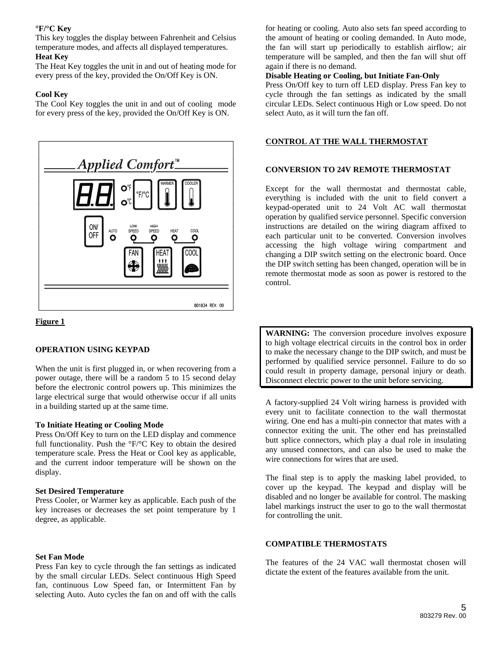# **°F/°C Key**

This key toggles the display between Fahrenheit and Celsius temperature modes, and affects all displayed temperatures.

# **Heat Key**

The Heat Key toggles the unit in and out of heating mode for every press of the key, provided the On/Off Key is ON.

# **Cool Key**

The Cool Key toggles the unit in and out of cooling mode for every press of the key, provided the On/Off Key is ON.





## **OPERATION USING KEYPAD**

When the unit is first plugged in, or when recovering from a power outage, there will be a random 5 to 15 second delay before the electronic control powers up. This minimizes the large electrical surge that would otherwise occur if all units in a building started up at the same time.

## **To Initiate Heating or Cooling Mode**

Press On/Off Key to turn on the LED display and commence full functionality. Push the  $\rm{P}F/C$  Key to obtain the desired temperature scale. Press the Heat or Cool key as applicable, and the current indoor temperature will be shown on the display.

## **Set Desired Temperature**

Press Cooler, or Warmer key as applicable. Each push of the key increases or decreases the set point temperature by 1 degree, as applicable.

## **Set Fan Mode**

Press Fan key to cycle through the fan settings as indicated by the small circular LEDs. Select continuous High Speed fan, continuous Low Speed fan, or Intermittent Fan by selecting Auto. Auto cycles the fan on and off with the calls

for heating or cooling. Auto also sets fan speed according to the amount of heating or cooling demanded. In Auto mode, the fan will start up periodically to establish airflow; air temperature will be sampled, and then the fan will shut off again if there is no demand.

#### **Disable Heating or Cooling, but Initiate Fan-Only**

Press On/Off key to turn off LED display. Press Fan key to cycle through the fan settings as indicated by the small circular LEDs. Select continuous High or Low speed. Do not select Auto, as it will turn the fan off.

# **CONTROL AT THE WALL THERMOSTAT**

## **CONVERSION TO 24V REMOTE THERMOSTAT**

Except for the wall thermostat and thermostat cable, everything is included with the unit to field convert a keypad-operated unit to 24 Volt AC wall thermostat operation by qualified service personnel. Specific conversion instructions are detailed on the wiring diagram affixed to each particular unit to be converted. Conversion involves accessing the high voltage wiring compartment and changing a DIP switch setting on the electronic board. Once the DIP switch setting has been changed, operation will be in remote thermostat mode as soon as power is restored to the control.

**WARNING:** The conversion procedure involves exposure to high voltage electrical circuits in the control box in order to make the necessary change to the DIP switch, and must be performed by qualified service personnel. Failure to do so could result in property damage, personal injury or death. Disconnect electric power to the unit before servicing.

A factory-supplied 24 Volt wiring harness is provided with every unit to facilitate connection to the wall thermostat wiring. One end has a multi-pin connector that mates with a connector exiting the unit. The other end has preinstalled butt splice connectors, which play a dual role in insulating any unused connectors, and can also be used to make the wire connections for wires that are used.

The final step is to apply the masking label provided, to cover up the keypad. The keypad and display will be disabled and no longer be available for control. The masking label markings instruct the user to go to the wall thermostat for controlling the unit.

## **COMPATIBLE THERMOSTATS**

The features of the 24 VAC wall thermostat chosen will dictate the extent of the features available from the unit.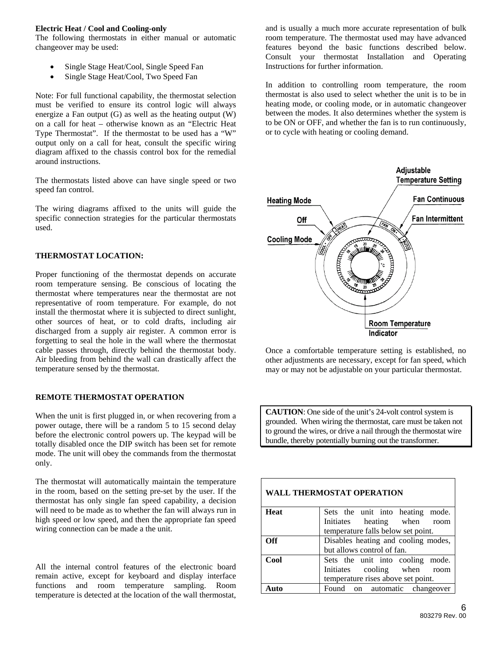### **Electric Heat / Cool and Cooling-only**

The following thermostats in either manual or automatic changeover may be used:

- Single Stage Heat/Cool, Single Speed Fan
- Single Stage Heat/Cool, Two Speed Fan

Note: For full functional capability, the thermostat selection must be verified to ensure its control logic will always energize a Fan output (G) as well as the heating output (W) on a call for heat – otherwise known as an "Electric Heat Type Thermostat". If the thermostat to be used has a "W" output only on a call for heat, consult the specific wiring diagram affixed to the chassis control box for the remedial around instructions.

The thermostats listed above can have single speed or two speed fan control.

The wiring diagrams affixed to the units will guide the specific connection strategies for the particular thermostats used.

## **THERMOSTAT LOCATION:**

Proper functioning of the thermostat depends on accurate room temperature sensing. Be conscious of locating the thermostat where temperatures near the thermostat are not representative of room temperature. For example, do not install the thermostat where it is subjected to direct sunlight, other sources of heat, or to cold drafts, including air discharged from a supply air register. A common error is forgetting to seal the hole in the wall where the thermostat cable passes through, directly behind the thermostat body. Air bleeding from behind the wall can drastically affect the temperature sensed by the thermostat.

# **REMOTE THERMOSTAT OPERATION**

When the unit is first plugged in, or when recovering from a power outage, there will be a random 5 to 15 second delay before the electronic control powers up. The keypad will be totally disabled once the DIP switch has been set for remote mode. The unit will obey the commands from the thermostat only.

The thermostat will automatically maintain the temperature in the room, based on the setting pre-set by the user. If the thermostat has only single fan speed capability, a decision will need to be made as to whether the fan will always run in high speed or low speed, and then the appropriate fan speed wiring connection can be made a the unit.

All the internal control features of the electronic board remain active, except for keyboard and display interface functions and room temperature sampling. Room temperature is detected at the location of the wall thermostat,

and is usually a much more accurate representation of bulk room temperature. The thermostat used may have advanced features beyond the basic functions described below. Consult your thermostat Installation and Operating Instructions for further information.

In addition to controlling room temperature, the room thermostat is also used to select whether the unit is to be in heating mode, or cooling mode, or in automatic changeover between the modes. It also determines whether the system is to be ON or OFF, and whether the fan is to run continuously, or to cycle with heating or cooling demand.



Once a comfortable temperature setting is established, no other adjustments are necessary, except for fan speed, which may or may not be adjustable on your particular thermostat.

**CAUTION**: One side of the unit's 24-volt control system is grounded. When wiring the thermostat, care must be taken not to ground the wires, or drive a nail through the thermostat wire bundle, thereby potentially burning out the transformer.

| Heat | Sets the unit into heating mode.    |  |  |
|------|-------------------------------------|--|--|
|      | Initiates heating when room         |  |  |
|      | temperature falls below set point.  |  |  |
| Off  | Disables heating and cooling modes, |  |  |
|      | but allows control of fan.          |  |  |
| Cool | Sets the unit into cooling mode.    |  |  |
|      | Initiates cooling when room         |  |  |
|      | temperature rises above set point.  |  |  |
| Auto | Found on automatic change over      |  |  |

**WALL THERMOSTAT OPERATION**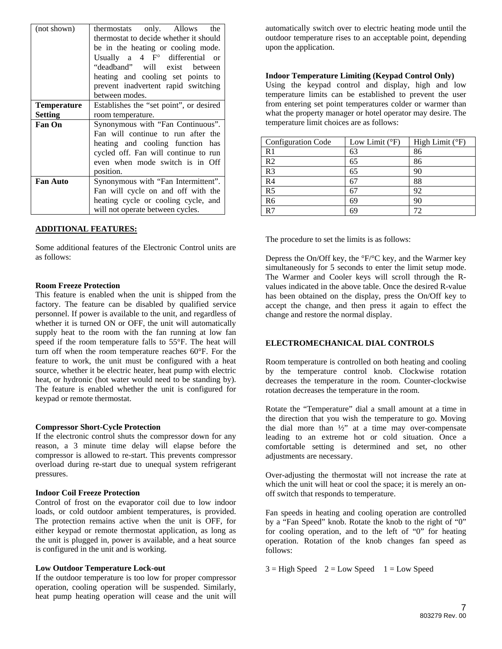| (not shown)     | thermostats only. Allows the            |  |  |  |
|-----------------|-----------------------------------------|--|--|--|
|                 | thermostat to decide whether it should  |  |  |  |
|                 | be in the heating or cooling mode.      |  |  |  |
|                 | Usually a $4 \tFo$ differential or      |  |  |  |
|                 | "deadband" will exist between           |  |  |  |
|                 | heating and cooling set points to       |  |  |  |
|                 | prevent inadvertent rapid switching     |  |  |  |
|                 | between modes.                          |  |  |  |
| Temperature     | Establishes the "set point", or desired |  |  |  |
| <b>Setting</b>  | room temperature.                       |  |  |  |
| <b>Fan On</b>   | Synonymous with "Fan Continuous".       |  |  |  |
|                 | Fan will continue to run after the      |  |  |  |
|                 | heating and cooling function has        |  |  |  |
|                 | cycled off. Fan will continue to run    |  |  |  |
|                 | even when mode switch is in Off         |  |  |  |
|                 | position.                               |  |  |  |
| <b>Fan Auto</b> | Synonymous with "Fan Intermittent".     |  |  |  |
|                 | Fan will cycle on and off with the      |  |  |  |
|                 | heating cycle or cooling cycle, and     |  |  |  |
|                 | will not operate between cycles.        |  |  |  |

#### **ADDITIONAL FEATURES:**

Some additional features of the Electronic Control units are as follows:

#### **Room Freeze Protection**

This feature is enabled when the unit is shipped from the factory. The feature can be disabled by qualified service personnel. If power is available to the unit, and regardless of whether it is turned ON or OFF, the unit will automatically supply heat to the room with the fan running at low fan speed if the room temperature falls to 55°F. The heat will turn off when the room temperature reaches 60°F. For the feature to work, the unit must be configured with a heat source, whether it be electric heater, heat pump with electric heat, or hydronic (hot water would need to be standing by). The feature is enabled whether the unit is configured for keypad or remote thermostat.

#### **Compressor Short-Cycle Protection**

If the electronic control shuts the compressor down for any reason, a 3 minute time delay will elapse before the compressor is allowed to re-start. This prevents compressor overload during re-start due to unequal system refrigerant pressures.

#### **Indoor Coil Freeze Protection**

Control of frost on the evaporator coil due to low indoor loads, or cold outdoor ambient temperatures, is provided. The protection remains active when the unit is OFF, for either keypad or remote thermostat application, as long as the unit is plugged in, power is available, and a heat source is configured in the unit and is working.

#### **Low Outdoor Temperature Lock-out**

If the outdoor temperature is too low for proper compressor operation, cooling operation will be suspended. Similarly, heat pump heating operation will cease and the unit will

automatically switch over to electric heating mode until the outdoor temperature rises to an acceptable point, depending upon the application.

#### **Indoor Temperature Limiting (Keypad Control Only)**

Using the keypad control and display, high and low temperature limits can be established to prevent the user from entering set point temperatures colder or warmer than what the property manager or hotel operator may desire. The temperature limit choices are as follows:

| <b>Configuration Code</b> | Low Limit $(^{\circ}F)$ | High Limit $(^{\circ}F)$ |
|---------------------------|-------------------------|--------------------------|
| R <sub>1</sub>            | 63                      | 86                       |
| R <sub>2</sub>            | 65                      | 86                       |
| R <sub>3</sub>            | 65                      | 90                       |
| R <sub>4</sub>            |                         | 88                       |
| R <sub>5</sub>            | 67                      | 92                       |
| R <sub>6</sub>            | 69                      | 90                       |
| R7                        | 69                      | 72                       |

The procedure to set the limits is as follows:

Depress the On/Off key, the  $\rm{^{\circ}F/^{\circ}C}$  key, and the Warmer key simultaneously for 5 seconds to enter the limit setup mode. The Warmer and Cooler keys will scroll through the Rvalues indicated in the above table. Once the desired R-value has been obtained on the display, press the On/Off key to accept the change, and then press it again to effect the change and restore the normal display.

#### **ELECTROMECHANICAL DIAL CONTROLS**

Room temperature is controlled on both heating and cooling by the temperature control knob. Clockwise rotation decreases the temperature in the room. Counter-clockwise rotation decreases the temperature in the room.

Rotate the "Temperature" dial a small amount at a time in the direction that you wish the temperature to go. Moving the dial more than ½" at a time may over-compensate leading to an extreme hot or cold situation. Once a comfortable setting is determined and set, no other adjustments are necessary.

Over-adjusting the thermostat will not increase the rate at which the unit will heat or cool the space; it is merely an onoff switch that responds to temperature.

Fan speeds in heating and cooling operation are controlled by a "Fan Speed" knob. Rotate the knob to the right of "0" for cooling operation, and to the left of "0" for heating operation. Rotation of the knob changes fan speed as follows:

 $3 =$  High Speed  $2 =$  Low Speed  $1 =$  Low Speed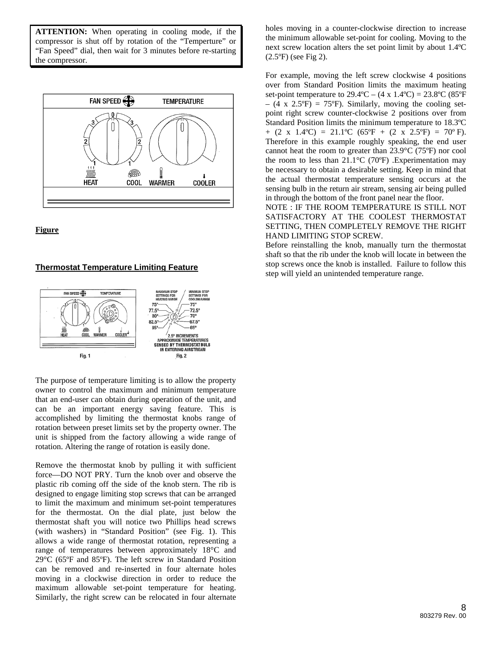**ATTENTION:** When operating in cooling mode, if the compressor is shut off by rotation of the "Temperture" or "Fan Speed" dial, then wait for 3 minutes before re-starting the compressor.





# **Thermostat Temperature Limiting Feature**



The purpose of temperature limiting is to allow the property owner to control the maximum and minimum temperature that an end-user can obtain during operation of the unit, and can be an important energy saving feature. This is accomplished by limiting the thermostat knobs range of rotation between preset limits set by the property owner. The unit is shipped from the factory allowing a wide range of rotation. Altering the range of rotation is easily done.

Remove the thermostat knob by pulling it with sufficient force—DO NOT PRY. Turn the knob over and observe the plastic rib coming off the side of the knob stern. The rib is designed to engage limiting stop screws that can be arranged to limit the maximum and minimum set-point temperatures for the thermostat. On the dial plate, just below the thermostat shaft you will notice two Phillips head screws (with washers) in "Standard Position" (see Fig. 1). This allows a wide range of thermostat rotation, representing a range of temperatures between approximately 18°C and 29°C (65ºF and 85ºF). The left screw in Standard Position can be removed and re-inserted in four alternate holes moving in a clockwise direction in order to reduce the maximum allowable set-point temperature for heating. Similarly, the right screw can be relocated in four alternate

holes moving in a counter-clockwise direction to increase the minimum allowable set-point for cooling. Moving to the next screw location alters the set point limit by about 1.4ºC (2.5ºF) (see Fig 2).

For example, moving the left screw clockwise 4 positions over from Standard Position limits the maximum heating set-point temperature to  $29.4^{\circ}\text{C} - (4 \times 1.4^{\circ}\text{C}) = 23.8^{\circ}\text{C}$  (85 $^{\circ}\text{F}$ )  $-$  (4 x 2.5°F) = 75°F). Similarly, moving the cooling setpoint right screw counter-clockwise 2 positions over from Standard Position limits the minimum temperature to 18.3ºC  $+$  (2 x 1.4°C) = 21.1°C (65°F + (2 x 2.5°F) = 70°F). Therefore in this example roughly speaking, the end user cannot heat the room to greater than 23.9°C (75ºF) nor cool the room to less than  $21.1^{\circ}$ C (70°F) .Experimentation may be necessary to obtain a desirable setting. Keep in mind that the actual thermostat temperature sensing occurs at the sensing bulb in the return air stream, sensing air being pulled in through the bottom of the front panel near the floor.

NOTE : IF THE ROOM TEMPERATURE IS STILL NOT SATISFACTORY AT THE COOLEST THERMOSTAT SETTING, THEN COMPLETELY REMOVE THE RIGHT HAND LIMITING STOP SCREW.

Before reinstalling the knob, manually turn the thermostat shaft so that the rib under the knob will locate in between the stop screws once the knob is installed. Failure to follow this step will yield an unintended temperature range.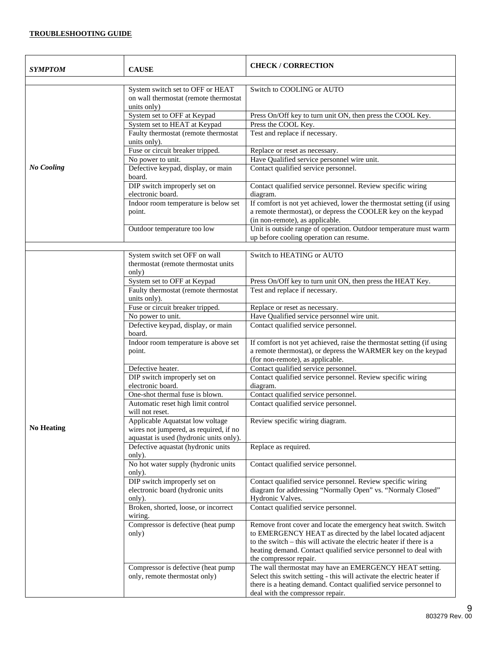# **TROUBLESHOOTING GUIDE**

| SYMPTOM           | <b>CAUSE</b>                                                                                                          | <b>CHECK/CORRECTION</b>                                                                                                                                                                                                                                                                              |
|-------------------|-----------------------------------------------------------------------------------------------------------------------|------------------------------------------------------------------------------------------------------------------------------------------------------------------------------------------------------------------------------------------------------------------------------------------------------|
|                   | System switch set to OFF or HEAT<br>on wall thermostat (remote thermostat<br>units only)                              | Switch to COOLING or AUTO                                                                                                                                                                                                                                                                            |
|                   | System set to OFF at Keypad                                                                                           | Press On/Off key to turn unit ON, then press the COOL Key.                                                                                                                                                                                                                                           |
|                   | System set to HEAT at Keypad                                                                                          | Press the COOL Key.                                                                                                                                                                                                                                                                                  |
|                   | Faulty thermostat (remote thermostat<br>units only).                                                                  | Test and replace if necessary.                                                                                                                                                                                                                                                                       |
|                   | Fuse or circuit breaker tripped.                                                                                      | Replace or reset as necessary.                                                                                                                                                                                                                                                                       |
|                   | No power to unit.                                                                                                     | Have Qualified service personnel wire unit.                                                                                                                                                                                                                                                          |
| <b>No Cooling</b> | Defective keypad, display, or main<br>board.                                                                          | Contact qualified service personnel.                                                                                                                                                                                                                                                                 |
|                   | DIP switch improperly set on<br>electronic board.                                                                     | Contact qualified service personnel. Review specific wiring<br>diagram.                                                                                                                                                                                                                              |
|                   | Indoor room temperature is below set<br>point.                                                                        | If comfort is not yet achieved, lower the thermostat setting (if using<br>a remote thermostat), or depress the COOLER key on the keypad<br>(in non-remote), as applicable.                                                                                                                           |
|                   | Outdoor temperature too low                                                                                           | Unit is outside range of operation. Outdoor temperature must warm<br>up before cooling operation can resume.                                                                                                                                                                                         |
|                   |                                                                                                                       |                                                                                                                                                                                                                                                                                                      |
|                   | System switch set OFF on wall<br>thermostat (remote thermostat units<br>only)                                         | Switch to HEATING or AUTO                                                                                                                                                                                                                                                                            |
|                   | System set to OFF at Keypad                                                                                           | Press On/Off key to turn unit ON, then press the HEAT Key.                                                                                                                                                                                                                                           |
|                   | Faulty thermostat (remote thermostat<br>units only).                                                                  | Test and replace if necessary.                                                                                                                                                                                                                                                                       |
|                   | Fuse or circuit breaker tripped.                                                                                      | Replace or reset as necessary.                                                                                                                                                                                                                                                                       |
|                   | No power to unit.                                                                                                     | Have Qualified service personnel wire unit.                                                                                                                                                                                                                                                          |
|                   | Defective keypad, display, or main<br>board.                                                                          | Contact qualified service personnel.                                                                                                                                                                                                                                                                 |
|                   | Indoor room temperature is above set<br>point.                                                                        | If comfort is not yet achieved, raise the thermostat setting (if using<br>a remote thermostat), or depress the WARMER key on the keypad<br>(for non-remote), as applicable.                                                                                                                          |
|                   | Defective heater.                                                                                                     | Contact qualified service personnel.                                                                                                                                                                                                                                                                 |
|                   | DIP switch improperly set on<br>electronic board.                                                                     | Contact qualified service personnel. Review specific wiring<br>diagram.                                                                                                                                                                                                                              |
|                   | One-shot thermal fuse is blown.                                                                                       | Contact qualified service personnel.                                                                                                                                                                                                                                                                 |
|                   | Automatic reset high limit control<br>will not reset.                                                                 | Contact qualified service personnel.                                                                                                                                                                                                                                                                 |
| <b>No Heating</b> | Applicable Aquatstat low voltage<br>wires not jumpered, as required, if no<br>aquastat is used (hydronic units only). | Review specific wiring diagram.                                                                                                                                                                                                                                                                      |
|                   | Defective aquastat (hydronic units<br>only).                                                                          | Replace as required.                                                                                                                                                                                                                                                                                 |
|                   | No hot water supply (hydronic units<br>only).                                                                         | Contact qualified service personnel.                                                                                                                                                                                                                                                                 |
|                   | DIP switch improperly set on<br>electronic board (hydronic units<br>only).                                            | Contact qualified service personnel. Review specific wiring<br>diagram for addressing "Normally Open" vs. "Normaly Closed"<br>Hydronic Valves.                                                                                                                                                       |
|                   | Broken, shorted, loose, or incorrect<br>wiring.                                                                       | Contact qualified service personnel.                                                                                                                                                                                                                                                                 |
|                   | Compressor is defective (heat pump<br>only)                                                                           | Remove front cover and locate the emergency heat switch. Switch<br>to EMERGENCY HEAT as directed by the label located adjacent<br>to the switch – this will activate the electric heater if there is a<br>heating demand. Contact qualified service personnel to deal with<br>the compressor repair. |
|                   | Compressor is defective (heat pump<br>only, remote thermostat only)                                                   | The wall thermostat may have an EMERGENCY HEAT setting.<br>Select this switch setting - this will activate the electric heater if<br>there is a heating demand. Contact qualified service personnel to<br>deal with the compressor repair.                                                           |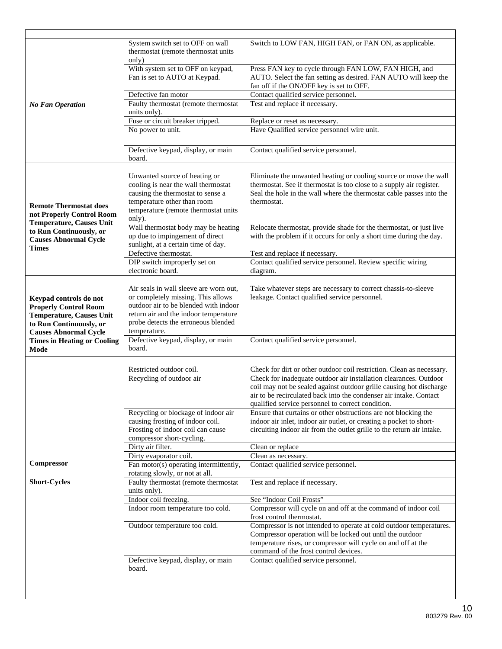|                                                            | System switch set to OFF on wall<br>thermostat (remote thermostat units<br>only) | Switch to LOW FAN, HIGH FAN, or FAN ON, as applicable.                                                                                                               |
|------------------------------------------------------------|----------------------------------------------------------------------------------|----------------------------------------------------------------------------------------------------------------------------------------------------------------------|
|                                                            | With system set to OFF on keypad,<br>Fan is set to AUTO at Keypad.               | Press FAN key to cycle through FAN LOW, FAN HIGH, and<br>AUTO. Select the fan setting as desired. FAN AUTO will keep the<br>fan off if the ON/OFF key is set to OFF. |
|                                                            | Defective fan motor                                                              | Contact qualified service personnel.                                                                                                                                 |
| <b>No Fan Operation</b>                                    | Faulty thermostat (remote thermostat<br>units only).                             | Test and replace if necessary.                                                                                                                                       |
|                                                            | Fuse or circuit breaker tripped.                                                 | Replace or reset as necessary.                                                                                                                                       |
|                                                            | No power to unit.                                                                | Have Qualified service personnel wire unit.                                                                                                                          |
|                                                            | Defective keypad, display, or main<br>board.                                     | Contact qualified service personnel.                                                                                                                                 |
|                                                            | Unwanted source of heating or                                                    | Eliminate the unwanted heating or cooling source or move the wall                                                                                                    |
|                                                            | cooling is near the wall thermostat                                              | thermostat. See if thermostat is too close to a supply air register.                                                                                                 |
|                                                            | causing the thermostat to sense a                                                | Seal the hole in the wall where the thermostat cable passes into the                                                                                                 |
|                                                            | temperature other than room                                                      | thermostat.                                                                                                                                                          |
| <b>Remote Thermostat does</b><br>not Properly Control Room | temperature (remote thermostat units<br>only).                                   |                                                                                                                                                                      |
| <b>Temperature, Causes Unit</b>                            | Wall thermostat body may be heating                                              | Relocate thermostat, provide shade for the thermostat, or just live                                                                                                  |
| to Run Continuously, or<br><b>Causes Abnormal Cycle</b>    | up due to impingement of direct<br>sunlight, at a certain time of day.           | with the problem if it occurs for only a short time during the day.                                                                                                  |
| <b>Times</b>                                               | Defective thermostat.                                                            | Test and replace if necessary.                                                                                                                                       |
|                                                            | DIP switch improperly set on                                                     | Contact qualified service personnel. Review specific wiring                                                                                                          |
|                                                            | electronic board.                                                                | diagram.                                                                                                                                                             |
|                                                            | Air seals in wall sleeve are worn out,                                           | Take whatever steps are necessary to correct chassis-to-sleeve                                                                                                       |
| Keypad controls do not                                     | or completely missing. This allows                                               | leakage. Contact qualified service personnel.                                                                                                                        |
| <b>Properly Control Room</b>                               | outdoor air to be blended with indoor                                            |                                                                                                                                                                      |
| Temperature, Causes Unit                                   | return air and the indoor temperature                                            |                                                                                                                                                                      |
| to Run Continuously, or                                    | probe detects the erroneous blended                                              |                                                                                                                                                                      |
| <b>Causes Abnormal Cycle</b>                               | temperature.                                                                     |                                                                                                                                                                      |
| <b>Times in Heating or Cooling</b>                         | Defective keypad, display, or main                                               | Contact qualified service personnel.                                                                                                                                 |
| Mode                                                       | board.                                                                           |                                                                                                                                                                      |
|                                                            | Restricted outdoor coil.                                                         | Check for dirt or other outdoor coil restriction. Clean as necessary.                                                                                                |
|                                                            | Recycling of outdoor air                                                         | Check for inadequate outdoor air installation clearances. Outdoor                                                                                                    |
|                                                            |                                                                                  | coil may not be sealed against outdoor grille causing hot discharge<br>air to be recirculated back into the condenser air intake. Contact                            |
|                                                            | Recycling or blockage of indoor air                                              | qualified service personnel to correct condition.<br>Ensure that curtains or other obstructions are not blocking the                                                 |
|                                                            | causing frosting of indoor coil.                                                 | indoor air inlet, indoor air outlet, or creating a pocket to short-                                                                                                  |
|                                                            | Frosting of indoor coil can cause                                                | circuiting indoor air from the outlet grille to the return air intake.                                                                                               |
|                                                            | compressor short-cycling.                                                        |                                                                                                                                                                      |
|                                                            | Dirty air filter.                                                                | Clean or replace                                                                                                                                                     |
|                                                            | Dirty evaporator coil.                                                           | Clean as necessary.                                                                                                                                                  |
| Compressor                                                 | Fan motor(s) operating intermittently,<br>rotating slowly, or not at all.        | Contact qualified service personnel.                                                                                                                                 |
| <b>Short-Cycles</b>                                        | Faulty thermostat (remote thermostat<br>units only).                             | Test and replace if necessary.                                                                                                                                       |
|                                                            | Indoor coil freezing.                                                            | See "Indoor Coil Frosts"                                                                                                                                             |
|                                                            | Indoor room temperature too cold.                                                | Compressor will cycle on and off at the command of indoor coil<br>frost control thermostat.                                                                          |
|                                                            | Outdoor temperature too cold.                                                    | Compressor is not intended to operate at cold outdoor temperatures.                                                                                                  |
|                                                            |                                                                                  |                                                                                                                                                                      |
|                                                            |                                                                                  | Compressor operation will be locked out until the outdoor                                                                                                            |
|                                                            |                                                                                  | temperature rises, or compressor will cycle on and off at the                                                                                                        |
|                                                            | Defective keypad, display, or main                                               | command of the frost control devices.<br>Contact qualified service personnel.                                                                                        |